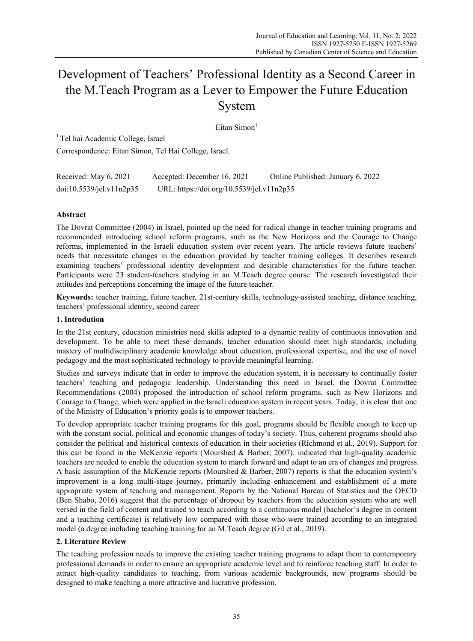# Development of Teachers' Professional Identity as a Second Career in the M.Teach Program as a Lever to Empower the Future Education System

Eitan Simon $1$ 

<sup>1</sup> Tel hai Academic College, Israel Correspondence: Eitan Simon, Tel Hai College, Israel.

| Received: May 6, 2021    | Accepted: December 16, 2021               | Online Published: January 6, 2022 |
|--------------------------|-------------------------------------------|-----------------------------------|
| doi:10.5539/jel.v11n2p35 | URL: https://doi.org/10.5539/jel.v11n2p35 |                                   |

# **Abstract**

The Dovrat Committee (2004) in Israel, pointed up the need for radical change in teacher training programs and recommended introducing school reform programs, such as the New Horizons and the Courage to Change reforms, implemented in the Israeli education system over recent years. The article reviews future teachers' needs that necessitate changes in the education provided by teacher training colleges. It describes research examining teachers' professional identity development and desirable characteristics for the future teacher. Participants were 23 student-teachers studying in an M.Teach degree course. The research investigated their attitudes and perceptions concerning the image of the future teacher.

**Keywords:** teacher training, future teacher, 21st-century skills, technology-assisted teaching, distance teaching, teachers' professional identity, second career

# **1. Introdution**

In the 21st century, education ministries need skills adapted to a dynamic reality of continuous innovation and development. To be able to meet these demands, teacher education should meet high standards, including mastery of multidisciplinary academic knowledge about education, professional expertise, and the use of novel pedagogy and the most sophisticated technology to provide meaningful learning.

Studies and surveys indicate that in order to improve the education system, it is necessary to continually foster teachers' teaching and pedagogic leadership. Understanding this need in Israel, the Dovrat Committee Recommendations (2004) proposed the introduction of school reform programs, such as New Horizons and Courage to Change, which were applied in the Israeli education system in recent years. Today, it is clear that one of the Ministry of Education's priority goals is to empower teachers.

To develop appropriate teacher training programs for this goal, programs should be flexible enough to keep up with the constant social. political and economic changes of today's society. Thus, coherent programs should also consider the political and historical contexts of education in their societies (Richmond et al., 2019). Support for this can be found in the McKenzie reports (Mourshed & Barber, 2007). indicated that high-quality academic teachers are needed to enable the education system to march forward and adapt to an era of changes and progress. A basic assumption of the McKenzie reports (Mourshed & Barber, 2007) reports is that the education system's improvement is a long multi-stage journey, primarily including enhancement and establishment of a more appropriate system of teaching and management. Reports by the National Bureau of Statistics and the OECD (Ben Shabo, 2016) suggest that the percentage of dropout by teachers from the education system who are well versed in the field of content and trained to teach according to a continuous model (bachelor's degree in content and a teaching certificate) is relatively low compared with those who were trained according to an integrated model (a degree including teaching training for an M.Teach degree (Gil et al., 2019).

# **2. Literature Review**

The teaching profession needs to improve the existing teacher training programs to adapt them to contemporary professional demands in order to ensure an appropriate academic level and to reinforce teaching staff. In order to attract high-quality candidates to teaching, from various academic backgrounds, new programs should be designed to make teaching a more attractive and lucrative profession.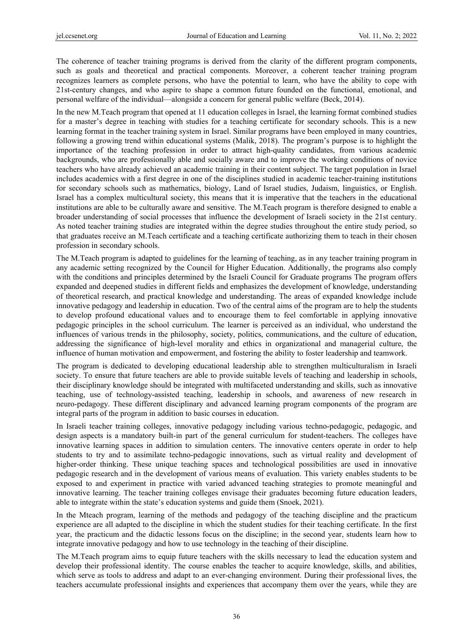The coherence of teacher training programs is derived from the clarity of the different program components, such as goals and theoretical and practical components. Moreover, a coherent teacher training program recognizes learners as complete persons, who have the potential to learn, who have the ability to cope with 21st-century changes, and who aspire to shape a common future founded on the functional, emotional, and personal welfare of the individual—alongside a concern for general public welfare (Beck, 2014).

In the new M.Teach program that opened at 11 education colleges in Israel, the learning format combined studies for a master's degree in teaching with studies for a teaching certificate for secondary schools. This is a new learning format in the teacher training system in Israel. Similar programs have been employed in many countries, following a growing trend within educational systems (Malik, 2018). The program's purpose is to highlight the importance of the teaching profession in order to attract high-quality candidates, from various academic backgrounds, who are professionally able and socially aware and to improve the working conditions of novice teachers who have already achieved an academic training in their content subject. The target population in Israel includes academics with a first degree in one of the disciplines studied in academic teacher-training institutions for secondary schools such as mathematics, biology, Land of Israel studies, Judaism, linguistics, or English. Israel has a complex multicultural society, this means that it is imperative that the teachers in the educational institutions are able to be culturally aware and sensitive. The M.Teach program is therefore designed to enable a broader understanding of social processes that influence the development of Israeli society in the 21st century. As noted teacher training studies are integrated within the degree studies throughout the entire study period, so that graduates receive an M.Teach certificate and a teaching certificate authorizing them to teach in their chosen profession in secondary schools.

The M.Teach program is adapted to guidelines for the learning of teaching, as in any teacher training program in any academic setting recognized by the Council for Higher Education. Additionally, the programs also comply with the conditions and principles determined by the Israeli Council for Graduate programs The program offers expanded and deepened studies in different fields and emphasizes the development of knowledge, understanding of theoretical research, and practical knowledge and understanding. The areas of expanded knowledge include innovative pedagogy and leadership in education. Two of the central aims of the program are to help the students to develop profound educational values and to encourage them to feel comfortable in applying innovative pedagogic principles in the school curriculum. The learner is perceived as an individual, who understand the influences of various trends in the philosophy, society, politics, communications, and the culture of education, addressing the significance of high-level morality and ethics in organizational and managerial culture, the influence of human motivation and empowerment, and fostering the ability to foster leadership and teamwork.

The program is dedicated to developing educational leadership able to strengthen multiculturalism in Israeli society. To ensure that future teachers are able to provide suitable levels of teaching and leadership in schools, their disciplinary knowledge should be integrated with multifaceted understanding and skills, such as innovative teaching, use of technology-assisted teaching, leadership in schools, and awareness of new research in neuro-pedagogy. These different disciplinary and advanced learning program components of the program are integral parts of the program in addition to basic courses in education.

In Israeli teacher training colleges, innovative pedagogy including various techno-pedagogic, pedagogic, and design aspects is a mandatory built-in part of the general curriculum for student-teachers. The colleges have innovative learning spaces in addition to simulation centers. The innovative centers operate in order to help students to try and to assimilate techno-pedagogic innovations, such as virtual reality and development of higher-order thinking. These unique teaching spaces and technological possibilities are used in innovative pedagogic research and in the development of various means of evaluation. This variety enables students to be exposed to and experiment in practice with varied advanced teaching strategies to promote meaningful and innovative learning. The teacher training colleges envisage their graduates becoming future education leaders, able to integrate within the state's education systems and guide them (Snoek, 2021).

In the Mteach program, learning of the methods and pedagogy of the teaching discipline and the practicum experience are all adapted to the discipline in which the student studies for their teaching certificate. In the first year, the practicum and the didactic lessons focus on the discipline; in the second year, students learn how to integrate innovative pedagogy and how to use technology in the teaching of their discipline.

The M.Teach program aims to equip future teachers with the skills necessary to lead the education system and develop their professional identity. The course enables the teacher to acquire knowledge, skills, and abilities, which serve as tools to address and adapt to an ever-changing environment. During their professional lives, the teachers accumulate professional insights and experiences that accompany them over the years, while they are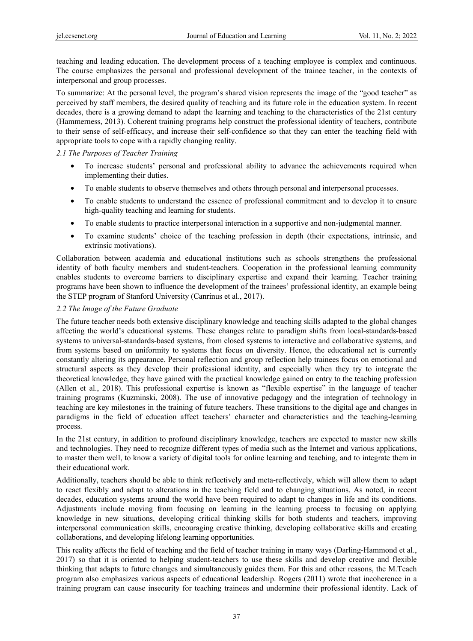teaching and leading education. The development process of a teaching employee is complex and continuous. The course emphasizes the personal and professional development of the trainee teacher, in the contexts of interpersonal and group processes.

To summarize: At the personal level, the program's shared vision represents the image of the "good teacher" as perceived by staff members, the desired quality of teaching and its future role in the education system. In recent decades, there is a growing demand to adapt the learning and teaching to the characteristics of the 21st century (Hammerness, 2013). Coherent training programs help construct the professional identity of teachers, contribute to their sense of self-efficacy, and increase their self-confidence so that they can enter the teaching field with appropriate tools to cope with a rapidly changing reality.

# *2.1 The Purposes of Teacher Training*

- To increase students' personal and professional ability to advance the achievements required when implementing their duties.
- To enable students to observe themselves and others through personal and interpersonal processes.
- To enable students to understand the essence of professional commitment and to develop it to ensure high-quality teaching and learning for students.
- To enable students to practice interpersonal interaction in a supportive and non-judgmental manner.
- To examine students' choice of the teaching profession in depth (their expectations, intrinsic, and extrinsic motivations).

Collaboration between academia and educational institutions such as schools strengthens the professional identity of both faculty members and student-teachers. Cooperation in the professional learning community enables students to overcome barriers to disciplinary expertise and expand their learning. Teacher training programs have been shown to influence the development of the trainees' professional identity, an example being the STEP program of Stanford University (Canrinus et al., 2017).

# *2.2 The Image of the Future Graduate*

The future teacher needs both extensive disciplinary knowledge and teaching skills adapted to the global changes affecting the world's educational systems. These changes relate to paradigm shifts from local-standards-based systems to universal-standards-based systems, from closed systems to interactive and collaborative systems, and from systems based on uniformity to systems that focus on diversity. Hence, the educational act is currently constantly altering its appearance. Personal reflection and group reflection help trainees focus on emotional and structural aspects as they develop their professional identity, and especially when they try to integrate the theoretical knowledge, they have gained with the practical knowledge gained on entry to the teaching profession (Allen et al., 2018). This professional expertise is known as "flexible expertise" in the language of teacher training programs (Kuzminski, 2008). The use of innovative pedagogy and the integration of technology in teaching are key milestones in the training of future teachers. These transitions to the digital age and changes in paradigms in the field of education affect teachers' character and characteristics and the teaching-learning process.

In the 21st century, in addition to profound disciplinary knowledge, teachers are expected to master new skills and technologies. They need to recognize different types of media such as the Internet and various applications, to master them well, to know a variety of digital tools for online learning and teaching, and to integrate them in their educational work.

Additionally, teachers should be able to think reflectively and meta-reflectively, which will allow them to adapt to react flexibly and adapt to alterations in the teaching field and to changing situations. As noted, in recent decades, education systems around the world have been required to adapt to changes in life and its conditions. Adjustments include moving from focusing on learning in the learning process to focusing on applying knowledge in new situations, developing critical thinking skills for both students and teachers, improving interpersonal communication skills, encouraging creative thinking, developing collaborative skills and creating collaborations, and developing lifelong learning opportunities.

This reality affects the field of teaching and the field of teacher training in many ways (Darling-Hammond et al., 2017) so that it is oriented to helping student-teachers to use these skills and develop creative and flexible thinking that adapts to future changes and simultaneously guides them. For this and other reasons, the M.Teach program also emphasizes various aspects of educational leadership. Rogers (2011) wrote that incoherence in a training program can cause insecurity for teaching trainees and undermine their professional identity. Lack of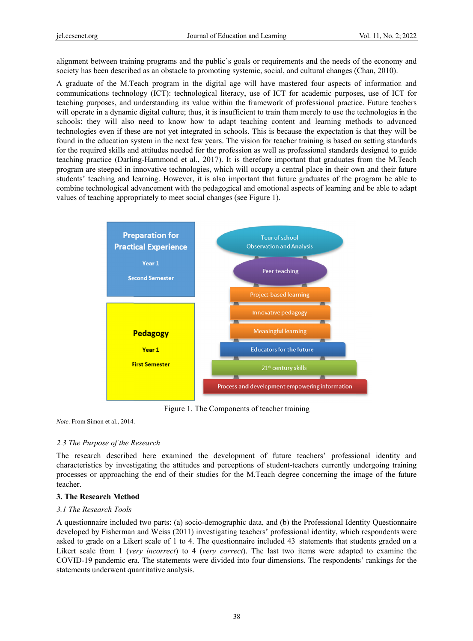alignment between training programs and the public's goals or requirements and the needs of the economy and society has been described as an obstacle to promoting systemic, social, and cultural changes (Chan, 2010).

A graduate of the M.Teach program in the digital age will have mastered four aspects of information and communications technology (ICT): technological literacy, use of ICT for academic purposes, use of ICT for teaching purposes, and understanding its value within the framework of professional practice. Future teachers will operate in a dynamic digital culture; thus, it is insufficient to train them merely to use the technologies in the schools: they will also need to know how to adapt teaching content and learning methods to advanced technologies even if these are not yet integrated in schools. This is because the expectation is that they will be found in the education system in the next few years. The vision for teacher training is based on setting standards for the required skills and attitudes needed for the profession as well as professional standards designed to guide teaching practice (Darling-Hammond et al., 2017). It is therefore important that graduates from the M.Teach program are steeped in innovative technologies, which will occupy a central place in their own and their future students' teaching and learning. However, it is also important that future graduates of the program be able to combine technological advancement with the pedagogical and emotional aspects of learning and be able to adapt values of teaching appropriately to meet social changes (see Figure 1).



Figure 1. The Components of teacher training

Note. From Simon et al., 2014.

# 2.3 The Purpose of the Research

The research described here examined the development of future teachers' professional identity and characteristics by investigating the attitudes and perceptions of student-teachers currently undergoing training processes or approaching the end of their studies for the M.Teach degree concerning the image of the future teacher.

#### **3. The Research Method**

#### *3.1 The Re esearch Tools*

A questionnaire included two parts: (a) socio-demographic data, and (b) the Professional Identity Questionnaire developed by Fisherman and Weiss (2011) investigating teachers' professional identity, which respondents were asked to grade on a Likert scale of 1 to 4. The questionnaire included 43 statements that students graded on a Likert scale from 1 (*very incorrect*) to 4 (*very correct*). The last two items were adapted to examine the COVID-19 pandemic era. The statements were divided into four dimensions. The respondents' rankings for the statements underwent quantitative analysis.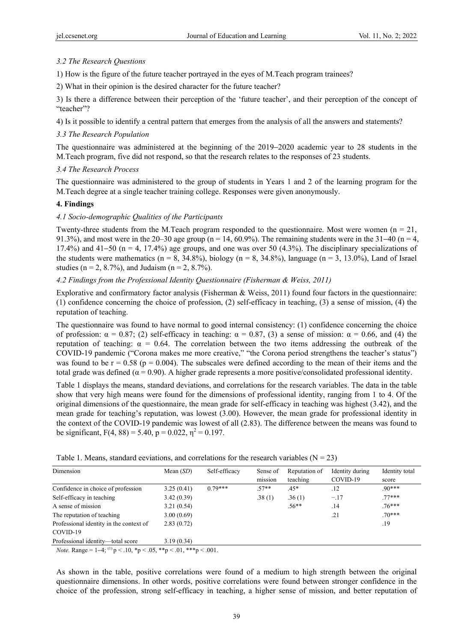# *3.2 The Research Questions*

1) How is the figure of the future teacher portrayed in the eyes of M.Teach program trainees?

2) What in their opinion is the desired character for the future teacher?

3) Is there a difference between their perception of the 'future teacher', and their perception of the concept of "teacher"?

4) Is it possible to identify a central pattern that emerges from the analysis of all the answers and statements?

# *3.3 The Research Population*

The questionnaire was administered at the beginning of the 2019−2020 academic year to 28 students in the M.Teach program, five did not respond, so that the research relates to the responses of 23 students.

### *3.4 The Research Process*

The questionnaire was administered to the group of students in Years 1 and 2 of the learning program for the M.Teach degree at a single teacher training college. Responses were given anonymously.

### **4. Findings**

### *4.1 Socio-demographic Qualities of the Participants*

Twenty-three students from the M.Teach program responded to the questionnaire. Most were women  $(n = 21,$ 91.3%), and most were in the 20–30 age group (n = 14, 60.9%). The remaining students were in the 31–40 (n = 4, 17.4%) and 41−50 (n = 4, 17.4%) age groups, and one was over 50 (4.3%). The disciplinary specializations of the students were mathematics ( $n = 8$ , 34.8%), biology ( $n = 8$ , 34.8%), language ( $n = 3$ , 13.0%), Land of Israel studies ( $n = 2$ , 8.7%), and Judaism ( $n = 2$ , 8.7%).

### *4.2 Findings from the Professional Identity Questionnaire (Fisherman & Weiss, 2011)*

Explorative and confirmatory factor analysis (Fisherman & Weiss, 2011) found four factors in the questionnaire: (1) confidence concerning the choice of profession, (2) self-efficacy in teaching, (3) a sense of mission, (4) the reputation of teaching.

The questionnaire was found to have normal to good internal consistency: (1) confidence concerning the choice of profession:  $\alpha = 0.87$ ; (2) self-efficacy in teaching:  $\alpha = 0.87$ , (3) a sense of mission:  $\alpha = 0.66$ , and (4) the reputation of teaching: α = 0.64. The correlation between the two items addressing the outbreak of the COVID-19 pandemic ("Corona makes me more creative," "the Corona period strengthens the teacher's status") was found to be  $r = 0.58$  ( $p = 0.004$ ). The subscales were defined according to the mean of their items and the total grade was defined ( $\alpha$  = 0.90). A higher grade represents a more positive/consolidated professional identity.

Table 1 displays the means, standard deviations, and correlations for the research variables. The data in the table show that very high means were found for the dimensions of professional identity, ranging from 1 to 4. Of the original dimensions of the questionnaire, the mean grade for self-efficacy in teaching was highest (3.42), and the mean grade for teaching's reputation, was lowest (3.00). However, the mean grade for professional identity in the context of the COVID-19 pandemic was lowest of all (2.83). The difference between the means was found to be significant,  $F(4, 88) = 5.40$ ,  $p = 0.022$ ,  $\eta^2 = 0.197$ .

| Table 1. Means, standard eeviations, and correlations for the research variables ( $N = 23$ ) |  |  |  |
|-----------------------------------------------------------------------------------------------|--|--|--|
|-----------------------------------------------------------------------------------------------|--|--|--|

| Dimension                               | Mean $(SD)$ | Self-efficacy | Sense of | Reputation of | Identity during | Identity total |
|-----------------------------------------|-------------|---------------|----------|---------------|-----------------|----------------|
|                                         |             |               | mission  | teaching      | COVID-19        | score          |
| Confidence in choice of profession      | 3.25(0.41)  | $0.79***$     | $.57**$  | $.45*$        | .12             | $90***$        |
| Self-efficacy in teaching               | 3.42(0.39)  |               | .38(1)   | .36(1)        | $-.17$          | $.77***$       |
| A sense of mission                      | 3.21(0.54)  |               |          | $.56**$       | .14             | $.76***$       |
| The reputation of teaching              | 3.00(0.69)  |               |          |               | .21             | $.70***$       |
| Professional identity in the context of | 2.83(0.72)  |               |          |               |                 | .19            |
| COVID-19                                |             |               |          |               |                 |                |
| Professional identity-total score       | 3.19(0.34)  |               |          |               |                 |                |

*Note.* Range =  $1-4$ ; <sup>(1)</sup>  $p < 0.10$ , \*p < .05, \*\*p < .01, \*\*\*p < .001.

As shown in the table, positive correlations were found of a medium to high strength between the original questionnaire dimensions. In other words, positive correlations were found between stronger confidence in the choice of the profession, strong self-efficacy in teaching, a higher sense of mission, and better reputation of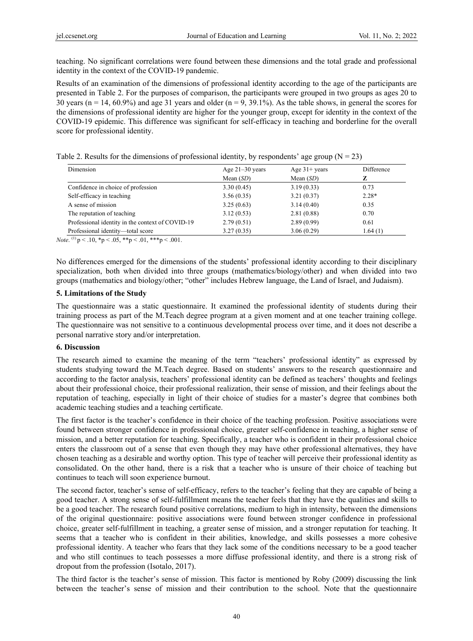teaching. No significant correlations were found between these dimensions and the total grade and professional identity in the context of the COVID-19 pandemic.

Results of an examination of the dimensions of professional identity according to the age of the participants are presented in Table 2. For the purposes of comparison, the participants were grouped in two groups as ages 20 to 30 years ( $n = 14, 60.9\%$ ) and age 31 years and older ( $n = 9, 39.1\%$ ). As the table shows, in general the scores for the dimensions of professional identity are higher for the younger group, except for identity in the context of the COVID-19 epidemic. This difference was significant for self-efficacy in teaching and borderline for the overall score for professional identity.

Table 2. Results for the dimensions of professional identity, by respondents' age group  $(N = 23)$ 

| <b>Dimension</b>                                 | Age $21-30$ years | Age $31+$ years | Difference |
|--------------------------------------------------|-------------------|-----------------|------------|
|                                                  | Mean $(SD)$       | Mean $(SD)$     | z          |
| Confidence in choice of profession               | 3.30(0.45)        | 3.19(0.33)      | 0.73       |
| Self-efficacy in teaching                        | 3.56(0.35)        | 3.21(0.37)      | $2.28*$    |
| A sense of mission                               | 3.25(0.63)        | 3.14(0.40)      | 0.35       |
| The reputation of teaching                       | 3.12(0.53)        | 2.81(0.88)      | 0.70       |
| Professional identity in the context of COVID-19 | 2.79(0.51)        | 2.89(0.99)      | 0.61       |
| Professional identity-total score                | 3.27(0.35)        | 3.06(0.29)      | 1.64(1)    |

*Note*. <sup>(1)</sup>  $p < .10$ ,  ${}^*p < .05$ ,  ${}^*{}^*p < .01$ ,  ${}^*{}^*p < .001$ .

No differences emerged for the dimensions of the students' professional identity according to their disciplinary specialization, both when divided into three groups (mathematics/biology/other) and when divided into two groups (mathematics and biology/other; "other" includes Hebrew language, the Land of Israel, and Judaism).

### **5. Limitations of the Study**

The questionnaire was a static questionnaire. It examined the professional identity of students during their training process as part of the M.Teach degree program at a given moment and at one teacher training college. The questionnaire was not sensitive to a continuous developmental process over time, and it does not describe a personal narrative story and/or interpretation.

# **6. Discussion**

The research aimed to examine the meaning of the term "teachers' professional identity" as expressed by students studying toward the M.Teach degree. Based on students' answers to the research questionnaire and according to the factor analysis, teachers' professional identity can be defined as teachers' thoughts and feelings about their professional choice, their professional realization, their sense of mission, and their feelings about the reputation of teaching, especially in light of their choice of studies for a master's degree that combines both academic teaching studies and a teaching certificate.

The first factor is the teacher's confidence in their choice of the teaching profession. Positive associations were found between stronger confidence in professional choice, greater self-confidence in teaching, a higher sense of mission, and a better reputation for teaching. Specifically, a teacher who is confident in their professional choice enters the classroom out of a sense that even though they may have other professional alternatives, they have chosen teaching as a desirable and worthy option. This type of teacher will perceive their professional identity as consolidated. On the other hand, there is a risk that a teacher who is unsure of their choice of teaching but continues to teach will soon experience burnout.

The second factor, teacher's sense of self-efficacy, refers to the teacher's feeling that they are capable of being a good teacher. A strong sense of self-fulfillment means the teacher feels that they have the qualities and skills to be a good teacher. The research found positive correlations, medium to high in intensity, between the dimensions of the original questionnaire: positive associations were found between stronger confidence in professional choice, greater self-fulfillment in teaching, a greater sense of mission, and a stronger reputation for teaching. It seems that a teacher who is confident in their abilities, knowledge, and skills possesses a more cohesive professional identity. A teacher who fears that they lack some of the conditions necessary to be a good teacher and who still continues to teach possesses a more diffuse professional identity, and there is a strong risk of dropout from the profession (Isotalo, 2017).

The third factor is the teacher's sense of mission. This factor is mentioned by Roby (2009) discussing the link between the teacher's sense of mission and their contribution to the school. Note that the questionnaire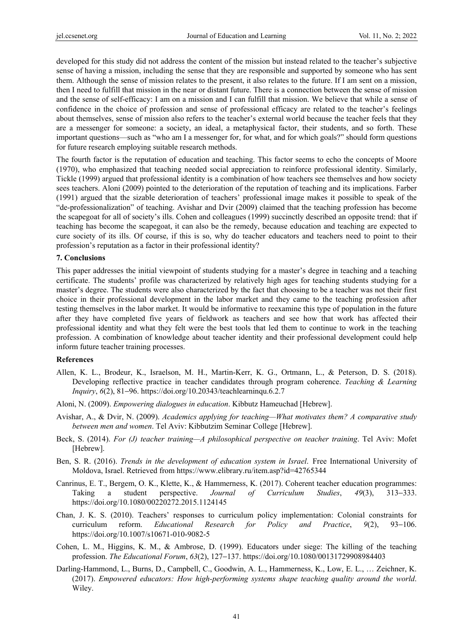developed for this study did not address the content of the mission but instead related to the teacher's subjective sense of having a mission, including the sense that they are responsible and supported by someone who has sent them. Although the sense of mission relates to the present, it also relates to the future. If I am sent on a mission, then I need to fulfill that mission in the near or distant future. There is a connection between the sense of mission and the sense of self-efficacy: I am on a mission and I can fulfill that mission. We believe that while a sense of confidence in the choice of profession and sense of professional efficacy are related to the teacher's feelings about themselves, sense of mission also refers to the teacher's external world because the teacher feels that they are a messenger for someone: a society, an ideal, a metaphysical factor, their students, and so forth. These important questions—such as "who am I a messenger for, for what, and for which goals?" should form questions for future research employing suitable research methods.

The fourth factor is the reputation of education and teaching. This factor seems to echo the concepts of Moore (1970), who emphasized that teaching needed social appreciation to reinforce professional identity. Similarly, Tickle (1999) argued that professional identity is a combination of how teachers see themselves and how society sees teachers. Aloni (2009) pointed to the deterioration of the reputation of teaching and its implications. Farber (1991) argued that the sizable deterioration of teachers' professional image makes it possible to speak of the "de-professionalization" of teaching. Avishar and Dvir (2009) claimed that the teaching profession has become the scapegoat for all of society's ills. Cohen and colleagues (1999) succinctly described an opposite trend: that if teaching has become the scapegoat, it can also be the remedy, because education and teaching are expected to cure society of its ills. Of course, if this is so, why do teacher educators and teachers need to point to their profession's reputation as a factor in their professional identity?

#### **7. Conclusions**

This paper addresses the initial viewpoint of students studying for a master's degree in teaching and a teaching certificate. The students' profile was characterized by relatively high ages for teaching students studying for a master's degree. The students were also characterized by the fact that choosing to be a teacher was not their first choice in their professional development in the labor market and they came to the teaching profession after testing themselves in the labor market. It would be informative to reexamine this type of population in the future after they have completed five years of fieldwork as teachers and see how that work has affected their professional identity and what they felt were the best tools that led them to continue to work in the teaching profession. A combination of knowledge about teacher identity and their professional development could help inform future teacher training processes.

#### **References**

- Allen, K. L., Brodeur, K., Israelson, M. H., Martin-Kerr, K. G., Ortmann, L., & Peterson, D. S. (2018). Developing reflective practice in teacher candidates through program coherence. *Teaching & Learning Inquiry*, *6*(2), 81−96. https://doi.org/10.20343/teachlearninqu.6.2.7
- Aloni, N. (2009). *Empowering dialogues in education*. Kibbutz Hameuchad [Hebrew].
- Avishar, A., & Dvir, N. (2009). *Academics applying for teaching—What motivates them? A comparative study between men and women*. Tel Aviv: Kibbutzim Seminar College [Hebrew].
- Beck, S. (2014). *For (J) teacher training—A philosophical perspective on teacher training*. Tel Aviv: Mofet [Hebrew].
- Ben, S. R. (2016). *Trends in the development of education system in Israel*. Free International University of Moldova, Israel. Retrieved from https://www.elibrary.ru/item.asp?id=42765344
- Canrinus, E. T., Bergem, O. K., Klette, K., & Hammerness, K. (2017). Coherent teacher education programmes: Taking a student perspective. *Journal of Curriculum Studies*, *49*(3), 313−333. https://doi.org/10.1080/00220272.2015.1124145
- Chan, J. K. S. (2010). Teachers' responses to curriculum policy implementation: Colonial constraints for curriculum reform. *Educational Research for Policy and Practice*, *9*(2), 93−106. https://doi.org/10.1007/s10671-010-9082-5
- Cohen, L. M., Higgins, K. M., & Ambrose, D. (1999). Educators under siege: The killing of the teaching profession. *The Educational Forum*, *63*(2), 127−137. https://doi.org/10.1080/00131729908984403
- Darling-Hammond, L., Burns, D., Campbell, C., Goodwin, A. L., Hammerness, K., Low, E. L., … Zeichner, K. (2017). *Empowered educators: How high-performing systems shape teaching quality around the world*. Wiley.